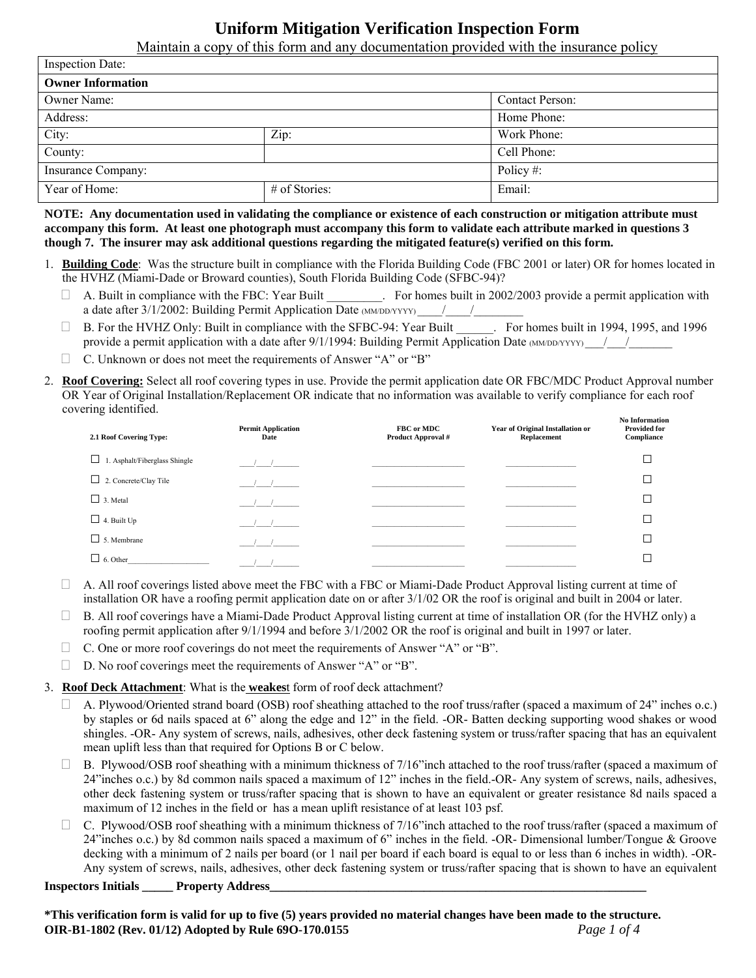# **Uniform Mitigation Verification Inspection Form**

Maintain a copy of this form and any documentation provided with the insurance policy

| <b>Inspection Date:</b>  |               |                        |  |  |
|--------------------------|---------------|------------------------|--|--|
| <b>Owner Information</b> |               |                        |  |  |
| Owner Name:              |               | <b>Contact Person:</b> |  |  |
| Address:                 |               | Home Phone:            |  |  |
| City:                    | Zip:          | Work Phone:            |  |  |
| County:                  |               | Cell Phone:            |  |  |
| Insurance Company:       |               | Policy#:               |  |  |
| Year of Home:            | # of Stories: | Email:                 |  |  |

**NOTE: Any documentation used in validating the compliance or existence of each construction or mitigation attribute must accompany this form. At least one photograph must accompany this form to validate each attribute marked in questions 3 though 7. The insurer may ask additional questions regarding the mitigated feature(s) verified on this form.** 

- 1. **Building Code**: Was the structure built in compliance with the Florida Building Code (FBC 2001 or later) OR for homes located in the HVHZ (Miami-Dade or Broward counties), South Florida Building Code (SFBC-94)?
	- A. Built in compliance with the FBC: Year Built \_\_\_\_\_\_\_\_\_. For homes built in 2002/2003 provide a permit application with a date after 3/1/2002: Building Permit Application Date (MM/DD/YYYY) \_\_\_\_/\_\_\_\_/
	- □ B. For the HVHZ Only: Built in compliance with the SFBC-94: Year Built Franchise Built in 1994, 1995, and 1996 provide a permit application with a date after  $9/1/1994$ : Building Permit Application Date (MM/DD/YYYY)  $\frac{1}{2}$
	- $\Box$  C. Unknown or does not meet the requirements of Answer "A" or "B"
- 2. **Roof Covering:** Select all roof covering types in use. Provide the permit application date OR FBC/MDC Product Approval number OR Year of Original Installation/Replacement OR indicate that no information was available to verify compliance for each roof covering identified.

| 2.1 Roof Covering Type:            | <b>Permit Application</b><br>Date | FBC or MDC<br>Product Approval # | Year of Original Installation or<br>Replacement | <b>No Information</b><br><b>Provided for</b><br>Compliance |
|------------------------------------|-----------------------------------|----------------------------------|-------------------------------------------------|------------------------------------------------------------|
| 1. Asphalt/Fiberglass Shingle<br>ப | $\prime$ /                        |                                  |                                                 |                                                            |
| $\Box$ 2. Concrete/Clay Tile       | $\prime$ /                        |                                  |                                                 |                                                            |
| $\Box$ 3. Metal                    |                                   |                                  |                                                 |                                                            |
| $\Box$ 4. Built Up                 |                                   |                                  |                                                 |                                                            |
| $\Box$ 5. Membrane                 |                                   |                                  |                                                 |                                                            |
| $\Box$ 6. Other                    |                                   |                                  |                                                 |                                                            |

- $\Box$  A. All roof coverings listed above meet the FBC with a FBC or Miami-Dade Product Approval listing current at time of installation OR have a roofing permit application date on or after 3/1/02 OR the roof is original and built in 2004 or later.
- $\Box$  B. All roof coverings have a Miami-Dade Product Approval listing current at time of installation OR (for the HVHZ only) a roofing permit application after 9/1/1994 and before 3/1/2002 OR the roof is original and built in 1997 or later.
- $\Box$  C. One or more roof coverings do not meet the requirements of Answer "A" or "B".
- $\Box$  D. No roof coverings meet the requirements of Answer "A" or "B".

3. **Roof Deck Attachment**: What is the **weakes**t form of roof deck attachment?

- $\Box$  A. Plywood/Oriented strand board (OSB) roof sheathing attached to the roof truss/rafter (spaced a maximum of 24" inches o.c.) by staples or 6d nails spaced at 6" along the edge and 12" in the field. -OR- Batten decking supporting wood shakes or wood shingles. -OR- Any system of screws, nails, adhesives, other deck fastening system or truss/rafter spacing that has an equivalent mean uplift less than that required for Options B or C below.
- $\Box$  B. Plywood/OSB roof sheathing with a minimum thickness of 7/16" inch attached to the roof truss/rafter (spaced a maximum of 24"inches o.c.) by 8d common nails spaced a maximum of 12" inches in the field.-OR- Any system of screws, nails, adhesives, other deck fastening system or truss/rafter spacing that is shown to have an equivalent or greater resistance 8d nails spaced a maximum of 12 inches in the field or has a mean uplift resistance of at least 103 psf.
- C. Plywood/OSB roof sheathing with a minimum thickness of 7/16"inch attached to the roof truss/rafter (spaced a maximum of 24"inches o.c.) by 8d common nails spaced a maximum of 6" inches in the field. -OR- Dimensional lumber/Tongue & Groove decking with a minimum of 2 nails per board (or 1 nail per board if each board is equal to or less than 6 inches in width). -OR-Any system of screws, nails, adhesives, other deck fastening system or truss/rafter spacing that is shown to have an equivalent

**Inspectors Initials Property Address** 

**\*This verification form is valid for up to five (5) years provided no material changes have been made to the structure. OIR-B1-1802 (Rev. 01/12) Adopted by Rule 69O-170.0155** *Page 1 of 4*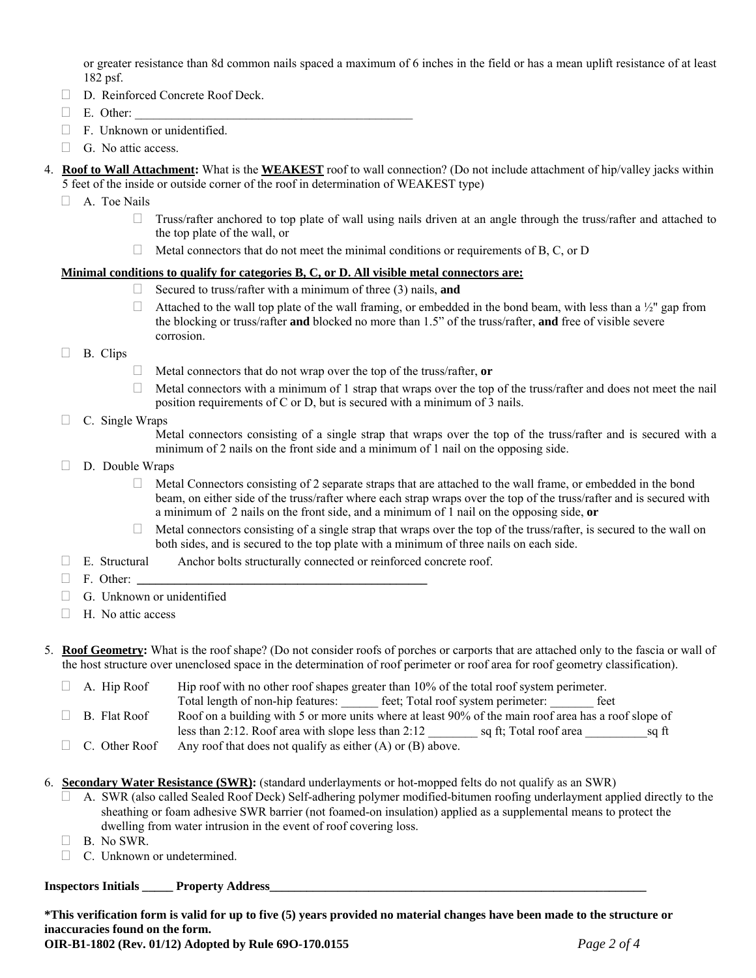or greater resistance than 8d common nails spaced a maximum of 6 inches in the field or has a mean uplift resistance of at least 182 psf.

- D. Reinforced Concrete Roof Deck.
- $\Box$  E. Other:
- $\Box$  F. Unknown or unidentified.
- $\Box$  G. No attic access.
- 4. **Roof to Wall Attachment:** What is the **WEAKEST** roof to wall connection? (Do not include attachment of hip/valley jacks within 5 feet of the inside or outside corner of the roof in determination of WEAKEST type)
	- $\Box$  A. Toe Nails
		- $\Box$  Truss/rafter anchored to top plate of wall using nails driven at an angle through the truss/rafter and attached to the top plate of the wall, or
		- $\Box$  Metal connectors that do not meet the minimal conditions or requirements of B, C, or D

#### **Minimal conditions to qualify for categories B, C, or D. All visible metal connectors are:**

- Secured to truss/rafter with a minimum of three (3) nails, **and**
- Attached to the wall top plate of the wall framing, or embedded in the bond beam, with less than a  $\frac{1}{2}$ " gap from the blocking or truss/rafter **and** blocked no more than 1.5" of the truss/rafter, **and** free of visible severe corrosion.
- B. Clips
- Metal connectors that do not wrap over the top of the truss/rafter, **or**
- $\Box$  Metal connectors with a minimum of 1 strap that wraps over the top of the truss/rafter and does not meet the nail position requirements of C or D, but is secured with a minimum of 3 nails.
- $\Box$  C. Single Wraps

Metal connectors consisting of a single strap that wraps over the top of the truss/rafter and is secured with a minimum of 2 nails on the front side and a minimum of 1 nail on the opposing side.

- $\Box$  D. Double Wraps
	- $\Box$  Metal Connectors consisting of 2 separate straps that are attached to the wall frame, or embedded in the bond beam, on either side of the truss/rafter where each strap wraps over the top of the truss/rafter and is secured with a minimum of 2 nails on the front side, and a minimum of 1 nail on the opposing side, **or**
	- $\Box$  Metal connectors consisting of a single strap that wraps over the top of the truss/rafter, is secured to the wall on both sides, and is secured to the top plate with a minimum of three nails on each side.
- $\Box$  E. Structural Anchor bolts structurally connected or reinforced concrete roof.
- F. Other: **\_\_\_\_\_\_\_\_\_\_\_\_\_\_\_\_\_\_\_\_\_\_\_\_\_\_\_\_\_\_\_\_\_\_\_\_\_\_\_\_\_\_\_\_\_\_\_**
- $\Box$  G. Unknown or unidentified
- $\Box$  H. No attic access

5. **Roof Geometry:** What is the roof shape? (Do not consider roofs of porches or carports that are attached only to the fascia or wall of the host structure over unenclosed space in the determination of roof perimeter or roof area for roof geometry classification).

 $\Box$  A. Hip Roof Hip roof with no other roof shapes greater than 10% of the total roof system perimeter. Total length of non-hip features: \_\_\_\_\_\_ feet; Total roof system perimeter: \_\_\_\_\_\_\_ feet  $\Box$  B. Flat Roof  $\Box$  Roof on a building with 5 or more units where at least 90% of the main roof area has a roof slope of less than 2:12. Roof area with slope less than 2:12 \_\_\_\_\_\_\_\_ sq ft; Total roof area \_\_\_\_\_\_\_\_\_\_sq ft

- $\Box$  C. Other Roof Any roof that does not qualify as either (A) or (B) above.
- 6. **Secondary Water Resistance (SWR):** (standard underlayments or hot-mopped felts do not qualify as an SWR)
	- A. SWR (also called Sealed Roof Deck) Self-adhering polymer modified-bitumen roofing underlayment applied directly to the sheathing or foam adhesive SWR barrier (not foamed-on insulation) applied as a supplemental means to protect the dwelling from water intrusion in the event of roof covering loss.
	- $\Box$  B. No SWR.
	- C. Unknown or undetermined.

#### **Inspectors Initials \_\_\_\_\_ Property Address\_\_\_\_\_\_\_\_\_\_\_\_\_\_\_\_\_\_\_\_\_\_\_\_\_\_\_\_\_\_\_\_\_\_\_\_\_\_\_\_\_\_\_\_\_\_\_\_\_\_\_\_\_\_\_\_\_\_\_\_\_**

**\*This verification form is valid for up to five (5) years provided no material changes have been made to the structure or inaccuracies found on the form.**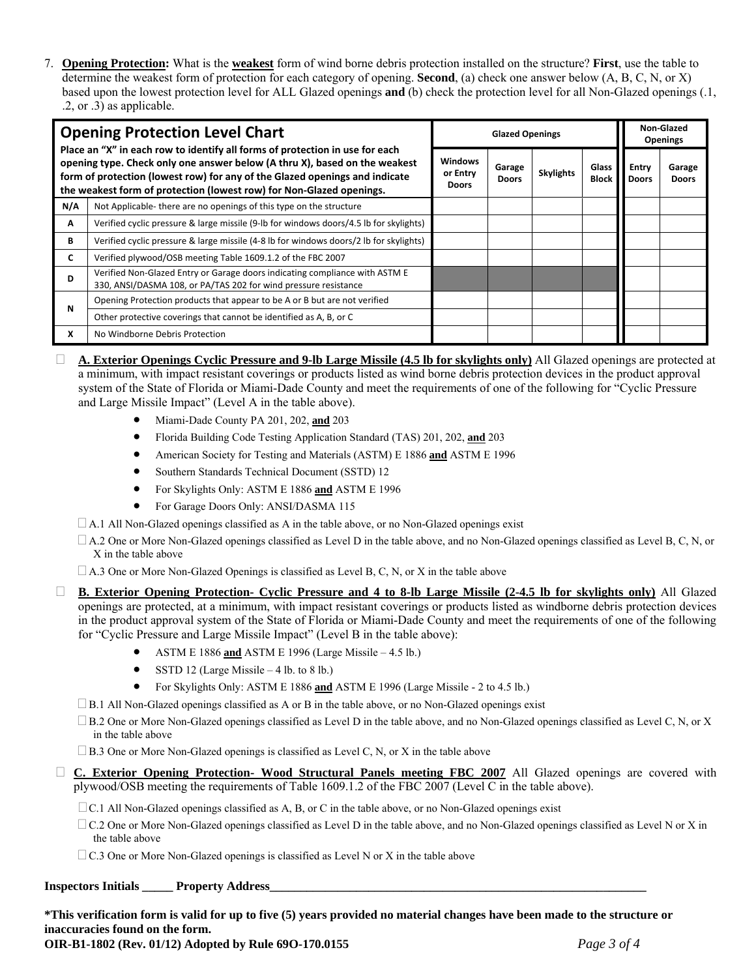7. **Opening Protection:** What is the **weakest** form of wind borne debris protection installed on the structure? **First**, use the table to determine the weakest form of protection for each category of opening. **Second**, (a) check one answer below (A, B, C, N, or X) based upon the lowest protection level for ALL Glazed openings **and** (b) check the protection level for all Non-Glazed openings (.1, .2, or .3) as applicable.

| <b>Opening Protection Level Chart</b>                                                                                                                                                                                                                                                                             |                                                                                                                                                | <b>Glazed Openings</b>                     |                        |                  |                       | Non-Glazed<br><b>Openings</b> |                        |
|-------------------------------------------------------------------------------------------------------------------------------------------------------------------------------------------------------------------------------------------------------------------------------------------------------------------|------------------------------------------------------------------------------------------------------------------------------------------------|--------------------------------------------|------------------------|------------------|-----------------------|-------------------------------|------------------------|
| Place an "X" in each row to identify all forms of protection in use for each<br>opening type. Check only one answer below (A thru X), based on the weakest<br>form of protection (lowest row) for any of the Glazed openings and indicate<br>the weakest form of protection (lowest row) for Non-Glazed openings. |                                                                                                                                                | <b>Windows</b><br>or Entry<br><b>Doors</b> | Garage<br><b>Doors</b> | <b>Skylights</b> | Glass<br><b>Block</b> | Entry<br><b>Doors</b>         | Garage<br><b>Doors</b> |
| N/A                                                                                                                                                                                                                                                                                                               | Not Applicable-there are no openings of this type on the structure                                                                             |                                            |                        |                  |                       |                               |                        |
| Α                                                                                                                                                                                                                                                                                                                 | Verified cyclic pressure & large missile (9-lb for windows doors/4.5 lb for skylights)                                                         |                                            |                        |                  |                       |                               |                        |
| В                                                                                                                                                                                                                                                                                                                 | Verified cyclic pressure & large missile (4-8 lb for windows doors/2 lb for skylights)                                                         |                                            |                        |                  |                       |                               |                        |
| C                                                                                                                                                                                                                                                                                                                 | Verified plywood/OSB meeting Table 1609.1.2 of the FBC 2007                                                                                    |                                            |                        |                  |                       |                               |                        |
| D                                                                                                                                                                                                                                                                                                                 | Verified Non-Glazed Entry or Garage doors indicating compliance with ASTM E<br>330, ANSI/DASMA 108, or PA/TAS 202 for wind pressure resistance |                                            |                        |                  |                       |                               |                        |
| N                                                                                                                                                                                                                                                                                                                 | Opening Protection products that appear to be A or B but are not verified                                                                      |                                            |                        |                  |                       |                               |                        |
|                                                                                                                                                                                                                                                                                                                   | Other protective coverings that cannot be identified as A, B, or C                                                                             |                                            |                        |                  |                       |                               |                        |
| x                                                                                                                                                                                                                                                                                                                 | No Windborne Debris Protection                                                                                                                 |                                            |                        |                  |                       |                               |                        |

- **A. Exterior Openings Cyclic Pressure and 9-lb Large Missile (4.5 lb for skylights only)** All Glazed openings are protected at a minimum, with impact resistant coverings or products listed as wind borne debris protection devices in the product approval system of the State of Florida or Miami-Dade County and meet the requirements of one of the following for "Cyclic Pressure and Large Missile Impact" (Level A in the table above).
	- Miami-Dade County PA 201, 202, **and** 203
	- Florida Building Code Testing Application Standard (TAS) 201, 202, **and** 203
	- American Society for Testing and Materials (ASTM) E 1886 **and** ASTM E 1996
	- Southern Standards Technical Document (SSTD) 12
	- For Skylights Only: ASTM E 1886 **and** ASTM E 1996
	- For Garage Doors Only: ANSI/DASMA 115
	- $\Box$  A.1 All Non-Glazed openings classified as A in the table above, or no Non-Glazed openings exist
	- $\Box$  A.2 One or More Non-Glazed openings classified as Level D in the table above, and no Non-Glazed openings classified as Level B, C, N, or X in the table above
	- $\Box$  A.3 One or More Non-Glazed Openings is classified as Level B, C, N, or X in the table above
- **B. Exterior Opening Protection- Cyclic Pressure and 4 to 8-lb Large Missile (2-4.5 lb for skylights only)** All Glazed openings are protected, at a minimum, with impact resistant coverings or products listed as windborne debris protection devices in the product approval system of the State of Florida or Miami-Dade County and meet the requirements of one of the following for "Cyclic Pressure and Large Missile Impact" (Level B in the table above):
	- ASTM E 1886 **and** ASTM E 1996 (Large Missile 4.5 lb.)
	- $\bullet$  SSTD 12 (Large Missile 4 lb. to 8 lb.)
	- For Skylights Only: ASTM E 1886 **and** ASTM E 1996 (Large Missile 2 to 4.5 lb.)
	- $\Box$  B.1 All Non-Glazed openings classified as A or B in the table above, or no Non-Glazed openings exist
	- $\square$  B.2 One or More Non-Glazed openings classified as Level D in the table above, and no Non-Glazed openings classified as Level C, N, or X in the table above
	- $\Box$  B.3 One or More Non-Glazed openings is classified as Level C, N, or X in the table above
- **C. Exterior Opening Protection- Wood Structural Panels meeting FBC 2007** All Glazed openings are covered with plywood/OSB meeting the requirements of Table 1609.1.2 of the FBC 2007 (Level C in the table above).
	- $\Box$  C.1 All Non-Glazed openings classified as A, B, or C in the table above, or no Non-Glazed openings exist
	- $\Box$  C.2 One or More Non-Glazed openings classified as Level D in the table above, and no Non-Glazed openings classified as Level N or X in the table above
	- $\Box$  C.3 One or More Non-Glazed openings is classified as Level N or X in the table above

## **Inspectors Initials Property Address**

**\*This verification form is valid for up to five (5) years provided no material changes have been made to the structure or inaccuracies found on the form.**